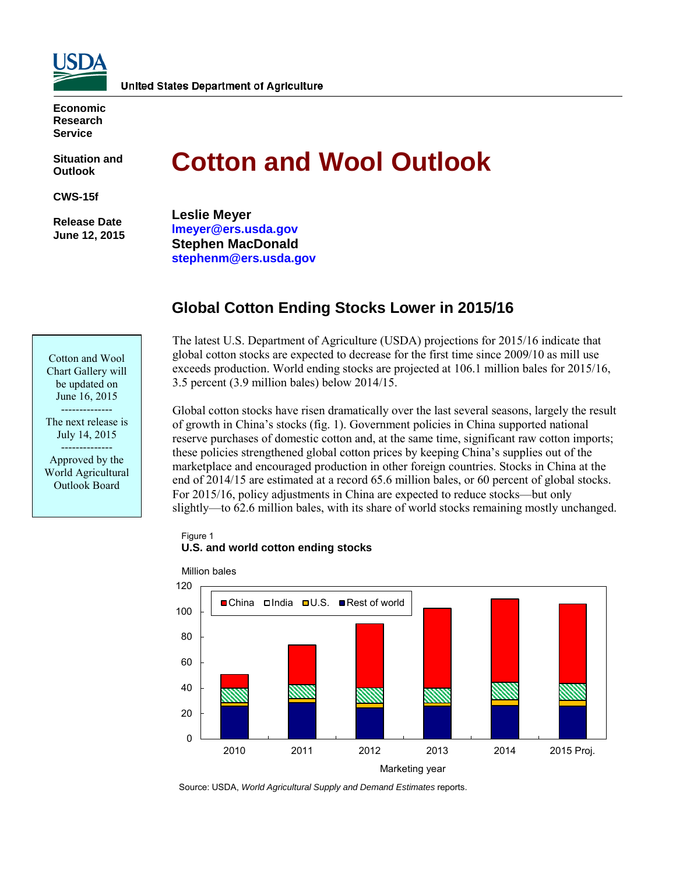

**Economic Research Service**

**Situation and Outlook**

**CWS-15f**

**Release Date June 12, 2015** 

Cotton and Wool Chart Gallery will be updated on June 16, 2015 -------------- The next release is July 14, 2015 -------------- Approved by the World Agricultural Outlook Board

# **Cotton and Wool Outlook**

**Leslie Meyer lmeyer@ers.usda.gov Stephen MacDonald stephenm@ers.usda.gov**

# **Global Cotton Ending Stocks Lower in 2015/16**

The latest U.S. Department of Agriculture (USDA) projections for 2015/16 indicate that global cotton stocks are expected to decrease for the first time since 2009/10 as mill use exceeds production. World ending stocks are projected at 106.1 million bales for 2015/16, 3.5 percent (3.9 million bales) below 2014/15.

Global cotton stocks have risen dramatically over the last several seasons, largely the result of growth in China's stocks (fig. 1). Government policies in China supported national reserve purchases of domestic cotton and, at the same time, significant raw cotton imports; these policies strengthened global cotton prices by keeping China's supplies out of the marketplace and encouraged production in other foreign countries. Stocks in China at the end of 2014/15 are estimated at a record 65.6 million bales, or 60 percent of global stocks. For 2015/16, policy adjustments in China are expected to reduce stocks—but only slightly—to 62.6 million bales, with its share of world stocks remaining mostly unchanged.

#### Figure 1 **U.S. and world cotton ending stocks**



Million bales

Source: USDA, *World Agricultural Supply and Demand Estimates* reports.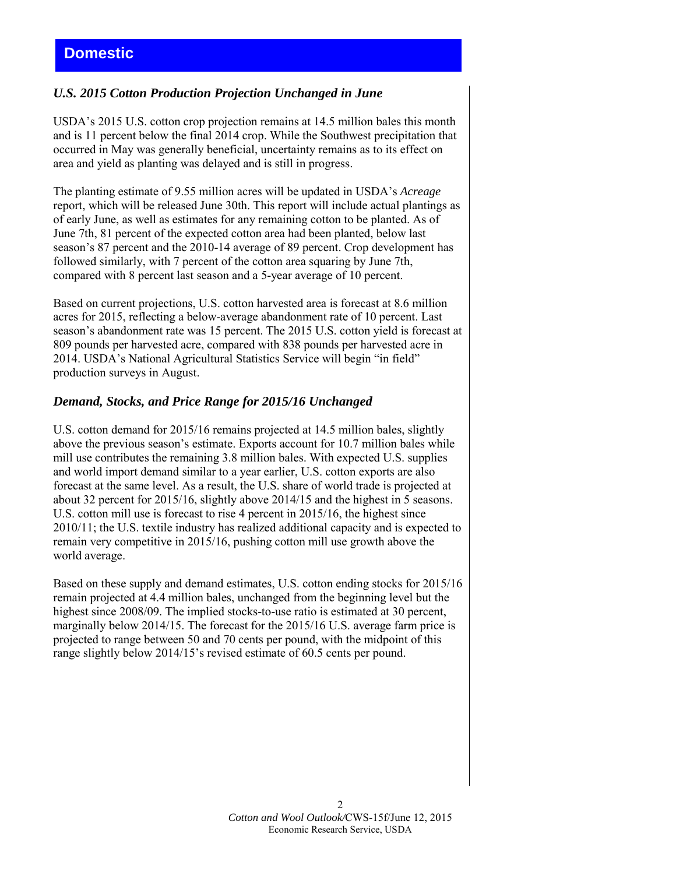## *U.S. 2015 Cotton Production Projection Unchanged in June*

USDA's 2015 U.S. cotton crop projection remains at 14.5 million bales this month and is 11 percent below the final 2014 crop. While the Southwest precipitation that occurred in May was generally beneficial, uncertainty remains as to its effect on area and yield as planting was delayed and is still in progress.

The planting estimate of 9.55 million acres will be updated in USDA's *Acreage* report, which will be released June 30th. This report will include actual plantings as of early June, as well as estimates for any remaining cotton to be planted. As of June 7th, 81 percent of the expected cotton area had been planted, below last season's 87 percent and the 2010-14 average of 89 percent. Crop development has followed similarly, with 7 percent of the cotton area squaring by June 7th, compared with 8 percent last season and a 5-year average of 10 percent.

Based on current projections, U.S. cotton harvested area is forecast at 8.6 million acres for 2015, reflecting a below-average abandonment rate of 10 percent. Last season's abandonment rate was 15 percent. The 2015 U.S. cotton yield is forecast at 809 pounds per harvested acre, compared with 838 pounds per harvested acre in 2014. USDA's National Agricultural Statistics Service will begin "in field" production surveys in August.

## *Demand, Stocks, and Price Range for 2015/16 Unchanged*

U.S. cotton demand for 2015/16 remains projected at 14.5 million bales, slightly above the previous season's estimate. Exports account for 10.7 million bales while mill use contributes the remaining 3.8 million bales. With expected U.S. supplies and world import demand similar to a year earlier, U.S. cotton exports are also forecast at the same level. As a result, the U.S. share of world trade is projected at about 32 percent for 2015/16, slightly above 2014/15 and the highest in 5 seasons. U.S. cotton mill use is forecast to rise 4 percent in 2015/16, the highest since 2010/11; the U.S. textile industry has realized additional capacity and is expected to remain very competitive in 2015/16, pushing cotton mill use growth above the world average.

Based on these supply and demand estimates, U.S. cotton ending stocks for 2015/16 remain projected at 4.4 million bales, unchanged from the beginning level but the highest since 2008/09. The implied stocks-to-use ratio is estimated at 30 percent, marginally below 2014/15. The forecast for the 2015/16 U.S. average farm price is projected to range between 50 and 70 cents per pound, with the midpoint of this range slightly below 2014/15's revised estimate of 60.5 cents per pound.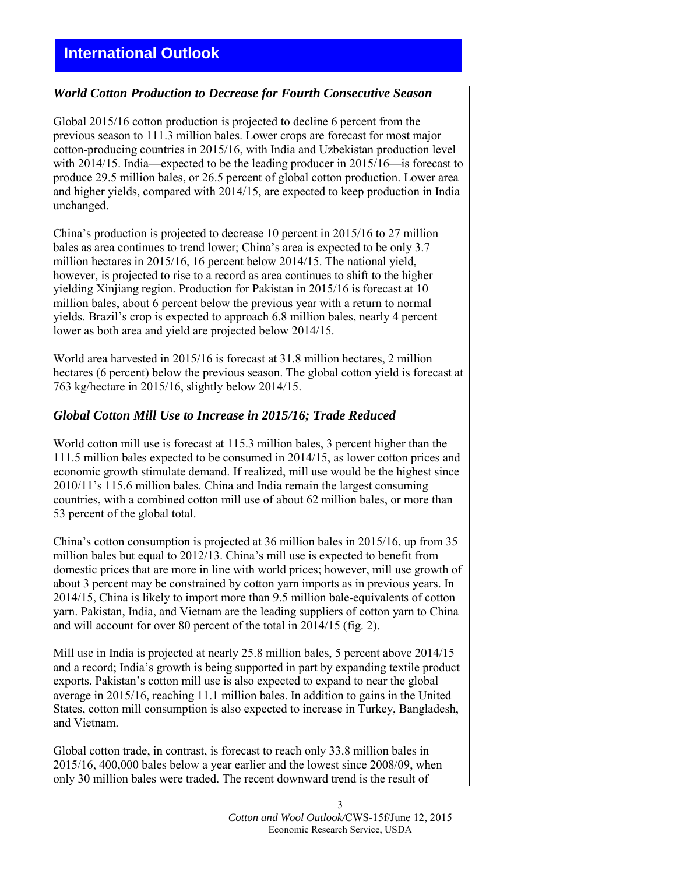# **International Outlook**

#### *World Cotton Production to Decrease for Fourth Consecutive Season*

Global 2015/16 cotton production is projected to decline 6 percent from the previous season to 111.3 million bales. Lower crops are forecast for most major cotton-producing countries in 2015/16, with India and Uzbekistan production level with 2014/15. India—expected to be the leading producer in 2015/16—is forecast to produce 29.5 million bales, or 26.5 percent of global cotton production. Lower area and higher yields, compared with 2014/15, are expected to keep production in India unchanged.

China's production is projected to decrease 10 percent in 2015/16 to 27 million bales as area continues to trend lower; China's area is expected to be only 3.7 million hectares in 2015/16, 16 percent below 2014/15. The national yield, however, is projected to rise to a record as area continues to shift to the higher yielding Xinjiang region. Production for Pakistan in 2015/16 is forecast at 10 million bales, about 6 percent below the previous year with a return to normal yields. Brazil's crop is expected to approach 6.8 million bales, nearly 4 percent lower as both area and yield are projected below 2014/15.

World area harvested in 2015/16 is forecast at 31.8 million hectares, 2 million hectares (6 percent) below the previous season. The global cotton yield is forecast at 763 kg/hectare in 2015/16, slightly below 2014/15.

## *Global Cotton Mill Use to Increase in 2015/16; Trade Reduced*

World cotton mill use is forecast at 115.3 million bales, 3 percent higher than the 111.5 million bales expected to be consumed in 2014/15, as lower cotton prices and economic growth stimulate demand. If realized, mill use would be the highest since 2010/11's 115.6 million bales. China and India remain the largest consuming countries, with a combined cotton mill use of about 62 million bales, or more than 53 percent of the global total.

China's cotton consumption is projected at 36 million bales in 2015/16, up from 35 million bales but equal to 2012/13. China's mill use is expected to benefit from domestic prices that are more in line with world prices; however, mill use growth of about 3 percent may be constrained by cotton yarn imports as in previous years. In 2014/15, China is likely to import more than 9.5 million bale-equivalents of cotton yarn. Pakistan, India, and Vietnam are the leading suppliers of cotton yarn to China and will account for over 80 percent of the total in 2014/15 (fig. 2).

Mill use in India is projected at nearly 25.8 million bales, 5 percent above 2014/15 and a record; India's growth is being supported in part by expanding textile product exports. Pakistan's cotton mill use is also expected to expand to near the global average in 2015/16, reaching 11.1 million bales. In addition to gains in the United States, cotton mill consumption is also expected to increase in Turkey, Bangladesh, and Vietnam.

Global cotton trade, in contrast, is forecast to reach only 33.8 million bales in 2015/16, 400,000 bales below a year earlier and the lowest since 2008/09, when only 30 million bales were traded. The recent downward trend is the result of

> 3 *Cotton and Wool Outlook/*CWS-15f/June 12, 2015 Economic Research Service, USDA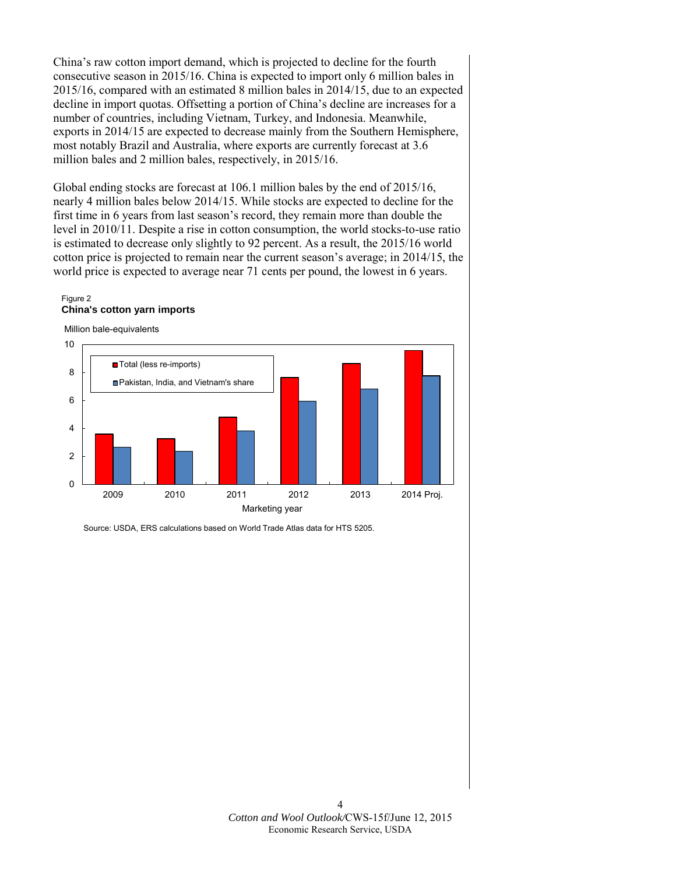China's raw cotton import demand, which is projected to decline for the fourth consecutive season in 2015/16. China is expected to import only 6 million bales in 2015/16, compared with an estimated 8 million bales in 2014/15, due to an expected decline in import quotas. Offsetting a portion of China's decline are increases for a number of countries, including Vietnam, Turkey, and Indonesia. Meanwhile, exports in 2014/15 are expected to decrease mainly from the Southern Hemisphere, most notably Brazil and Australia, where exports are currently forecast at 3.6 million bales and 2 million bales, respectively, in 2015/16.

Global ending stocks are forecast at 106.1 million bales by the end of 2015/16, nearly 4 million bales below 2014/15. While stocks are expected to decline for the first time in 6 years from last season's record, they remain more than double the level in 2010/11. Despite a rise in cotton consumption, the world stocks-to-use ratio is estimated to decrease only slightly to 92 percent. As a result, the 2015/16 world cotton price is projected to remain near the current season's average; in 2014/15, the world price is expected to average near 71 cents per pound, the lowest in 6 years.

#### Figure 2 **China's cotton yarn imports**





Source: USDA, ERS calculations based on World Trade Atlas data for HTS 5205.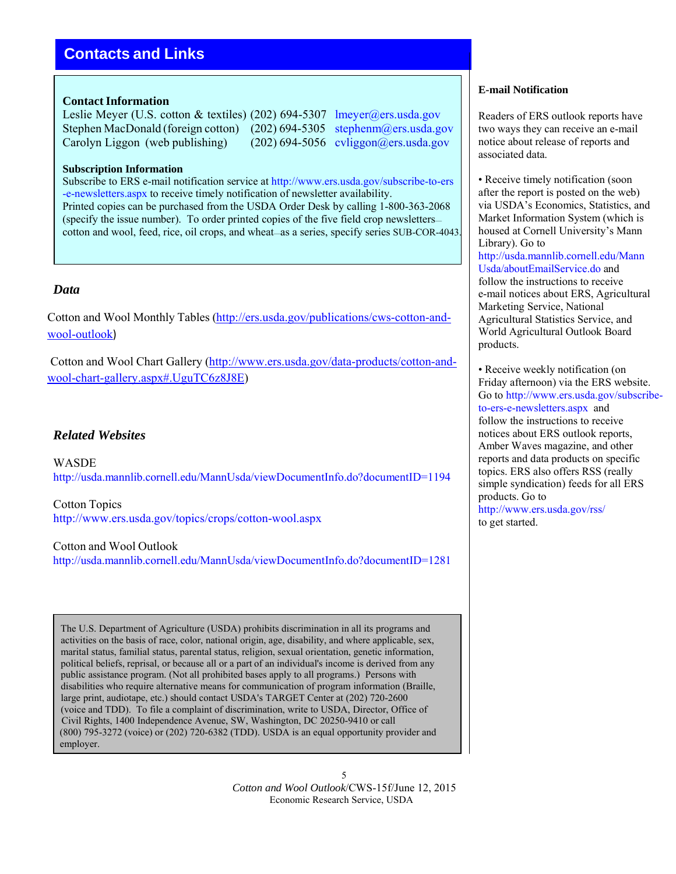# **Contacts and Links**

#### **Contact Information**

Leslie Meyer (U.S. cotton & textiles) (202) 694-5307 lmeyer@ers.usda.gov Stephen MacDonald (foreign cotton) (202) 694-5305 stephenm@ers.usda.gov Carolyn Liggon (web publishing) (202) 694-5056 cyliggon@ers.usda.gov

#### **Subscription Information**

Subscribe to ERS e-mail notification service at http://www.ers.usda.gov/subscribe-to-ers -e-newsletters.aspx to receive timely notification of newsletter availability. Printed copies can be purchased from the USDA Order Desk by calling 1-800-363-2068 (specify the issue number). To order printed copies of the five field crop newsletters cotton and wool, feed, rice, oil crops, and wheat—as a series, specify series SUB-COR-4043.

### *Data*

Cotton and Wool Monthly Tables (http://ers.usda.gov/publications/cws-cotton-andwool-outlook)

Cotton and Wool Chart Gallery (http://www.ers.usda.gov/data-products/cotton-andwool-chart-gallery.aspx#.UguTC6z8J8E)

## *Related Websites*

WASDE http://usda.mannlib.cornell.edu/MannUsda/viewDocumentInfo.do?documentID=1194

Cotton Topics http://www.ers.usda.gov/topics/crops/cotton-wool.aspx

Cotton and Wool Outlook http://usda.mannlib.cornell.edu/MannUsda/viewDocumentInfo.do?documentID=1281

The U.S. Department of Agriculture (USDA) prohibits discrimination in all its programs and activities on the basis of race, color, national origin, age, disability, and where applicable, sex, marital status, familial status, parental status, religion, sexual orientation, genetic information, political beliefs, reprisal, or because all or a part of an individual's income is derived from any public assistance program. (Not all prohibited bases apply to all programs.) Persons with disabilities who require alternative means for communication of program information (Braille, large print, audiotape, etc.) should contact USDA's TARGET Center at (202) 720-2600 (voice and TDD). To file a complaint of discrimination, write to USDA, Director, Office of Civil Rights, 1400 Independence Avenue, SW, Washington, DC 20250-9410 or call (800) 795-3272 (voice) or (202) 720-6382 (TDD). USDA is an equal opportunity provider and employer.

#### **E-mail Notification**

Readers of ERS outlook reports have two ways they can receive an e-mail notice about release of reports and associated data.

• Receive timely notification (soon) after the report is posted on the web) via USDA's Economics, Statistics, and Market Information System (which is housed at Cornell University's Mann Library). Go to http://usda.mannlib.cornell.edu/Mann Usda/aboutEmailService.do and follow the instructions to receive e-mail notices about ERS, Agricultural Marketing Service, National Agricultural Statistics Service, and World Agricultural Outlook Board products.

• Receive weekly notification (on Friday afternoon) via the ERS website. Go to http://www.ers.usda.gov/subscribeto-ers-e-newsletters.aspx and follow the instructions to receive notices about ERS outlook reports, Amber Waves magazine, and other reports and data products on specific topics. ERS also offers RSS (really simple syndication) feeds for all ERS products. Go to http://www.ers.usda.gov/rss/ to get started.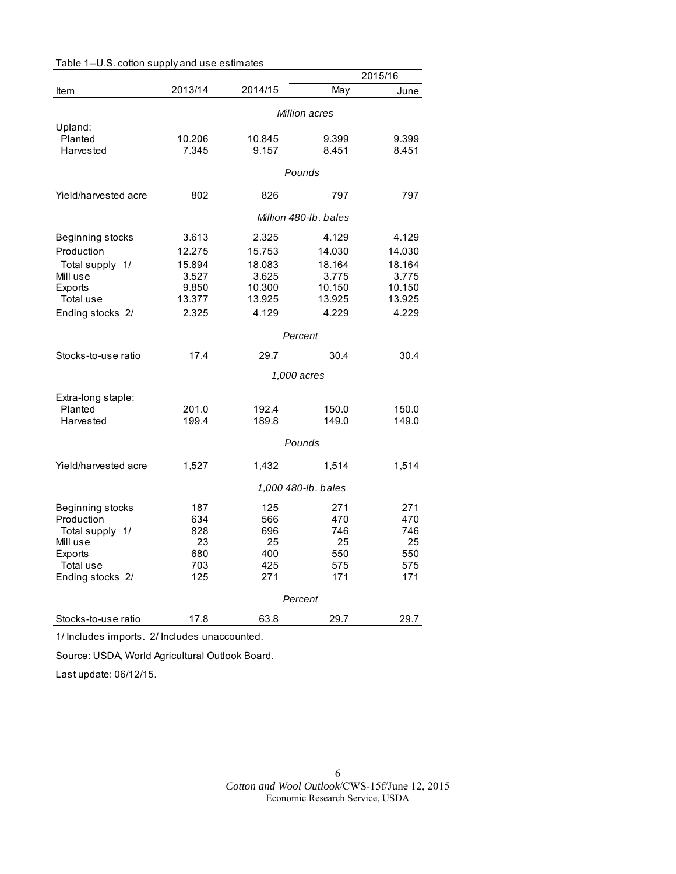|                      |         |         |                       | 2015/16 |
|----------------------|---------|---------|-----------------------|---------|
| Item                 | 2013/14 | 2014/15 | May                   | June    |
|                      |         |         | Million acres         |         |
| Upland:              |         |         |                       |         |
| Planted              | 10.206  | 10.845  | 9.399                 | 9.399   |
| Harvested            | 7.345   | 9.157   | 8.451                 | 8.451   |
|                      | Pounds  |         |                       |         |
| Yield/harvested acre | 802     | 826     | 797                   | 797     |
|                      |         |         | Million 480-lb, bales |         |
| Beginning stocks     | 3.613   | 2.325   | 4.129                 | 4.129   |
| Production           | 12.275  | 15.753  | 14.030                | 14.030  |
| Total supply 1/      | 15.894  | 18.083  | 18.164                | 18.164  |
| Mill use             | 3.527   | 3.625   | 3.775                 | 3.775   |
| Exports              | 9.850   | 10.300  | 10.150                | 10.150  |
| Total use            | 13.377  | 13.925  | 13.925                | 13.925  |
| Ending stocks 2/     | 2.325   | 4.129   | 4.229                 | 4.229   |
|                      |         |         | Percent               |         |
| Stocks-to-use ratio  | 17.4    | 29.7    | 30.4                  | 30.4    |
|                      |         |         | 1,000 acres           |         |
| Extra-long staple:   |         |         |                       |         |
| Planted              | 201.0   | 192.4   | 150.0                 | 150.0   |
| Harvested            | 199.4   | 189.8   | 149.0                 | 149.0   |
|                      |         |         | Pounds                |         |
| Yield/harvested acre | 1,527   | 1,432   | 1,514                 | 1,514   |
|                      |         |         | 1,000 480-lb. bales   |         |
| Beginning stocks     | 187     | 125     | 271                   | 271     |
| Production           | 634     | 566     | 470                   | 470     |
| Total supply 1/      | 828     | 696     | 746                   | 746     |
| Mill use             | 23      | 25      | 25                    | 25      |
| Exports              | 680     | 400     | 550                   | 550     |
| Total use            | 703     | 425     | 575                   | 575     |
| Ending stocks 2/     | 125     | 271     | 171                   | 171     |
|                      |         |         | Percent               |         |
| Stocks-to-use ratio  | 17.8    | 63.8    | 29.7                  | 29.7    |

Table 1--U.S. cotton supply and use estimates

1/ Includes imports. 2/ Includes unaccounted.

Source: USDA, World Agricultural Outlook Board.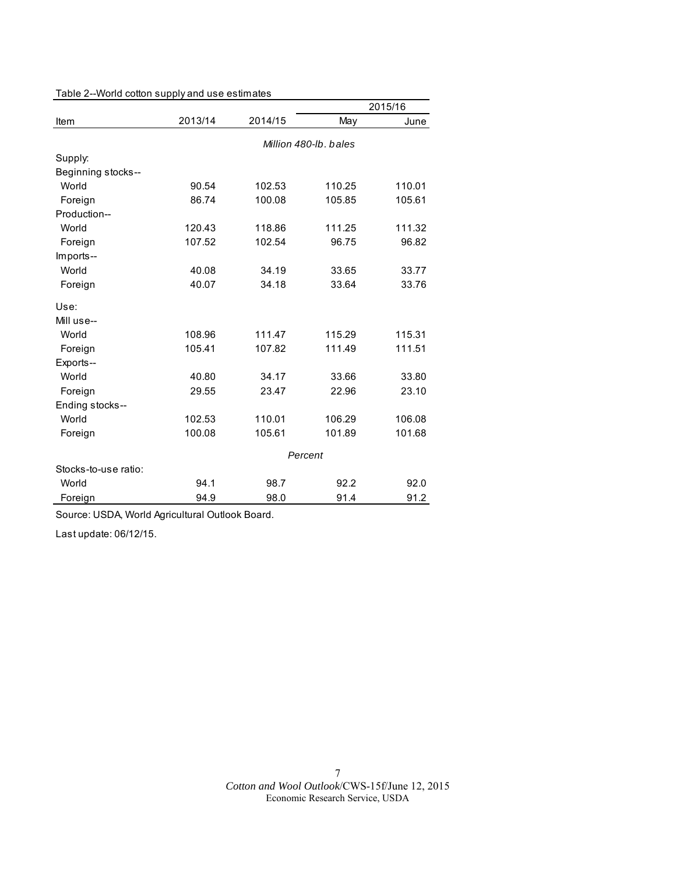|                      |         |         |                       | 2015/16 |
|----------------------|---------|---------|-----------------------|---------|
| Item                 | 2013/14 | 2014/15 | May                   | June    |
|                      |         |         | Million 480-lb, bales |         |
| Supply:              |         |         |                       |         |
| Beginning stocks--   |         |         |                       |         |
| World                | 90.54   | 102.53  | 110.25                | 110.01  |
| Foreign              | 86.74   | 100.08  | 105.85                | 105.61  |
| Production--         |         |         |                       |         |
| World                | 120.43  | 118.86  | 111.25                | 111.32  |
| Foreign              | 107.52  | 102.54  | 96.75                 | 96.82   |
| Imports--            |         |         |                       |         |
| World                | 40.08   | 34.19   | 33.65                 | 33.77   |
| Foreign              | 40.07   | 34.18   | 33.64                 | 33.76   |
| Use:                 |         |         |                       |         |
| Mill use--           |         |         |                       |         |
| World                | 108.96  | 111.47  | 115.29                | 115.31  |
| Foreign              | 105.41  | 107.82  | 111.49                | 111.51  |
| Exports--            |         |         |                       |         |
| World                | 40.80   | 34.17   | 33.66                 | 33.80   |
| Foreign              | 29.55   | 23.47   | 22.96                 | 23.10   |
| Ending stocks--      |         |         |                       |         |
| World                | 102.53  | 110.01  | 106.29                | 106.08  |
| Foreign              | 100.08  | 105.61  | 101.89                | 101.68  |
|                      |         |         | Percent               |         |
| Stocks-to-use ratio: |         |         |                       |         |
| World                | 94.1    | 98.7    | 92.2                  | 92.0    |
| Foreign              | 94.9    | 98.0    | 91.4                  | 91.2    |

Table 2--World cotton supply and use estimates

Source: USDA, World Agricultural Outlook Board.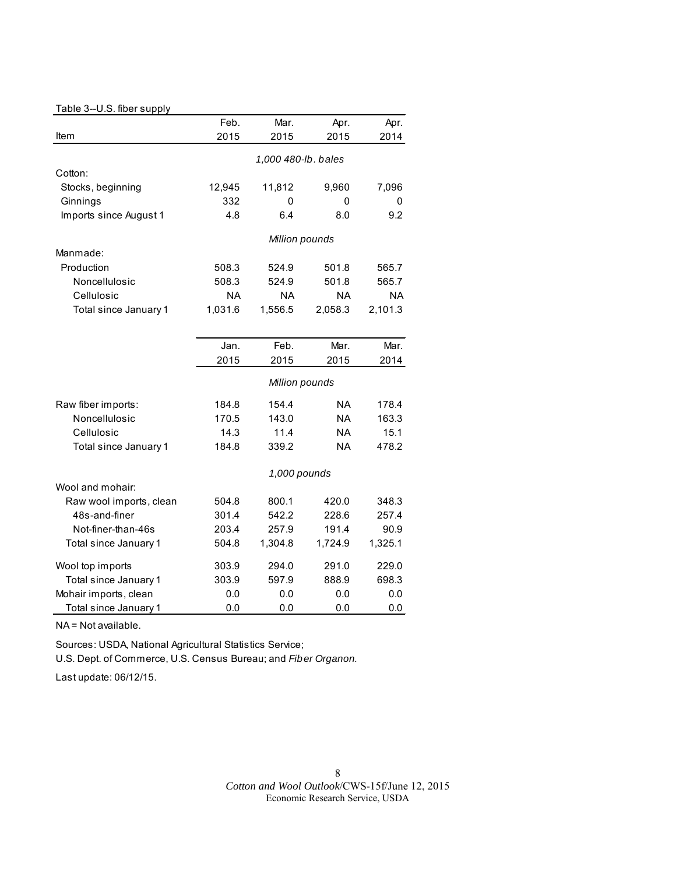#### Table 3--U.S. fiber supply

|                         | Feb.      | Mar.                | Apr.                   | Apr.      |
|-------------------------|-----------|---------------------|------------------------|-----------|
| Item                    | 2015      | 2015                | 2015                   | 2014      |
|                         |           | 1,000 480-lb. bales |                        |           |
| Cotton:                 |           |                     |                        |           |
| Stocks, beginning       | 12,945    | 11,812              | 9,960                  | 7,096     |
| Ginnings                | 332       | 0                   | 0                      | 0         |
| Imports since August 1  | 4.8       | 6.4                 | 8.0                    | 9.2       |
|                         |           |                     |                        |           |
|                         |           | Million pounds      |                        |           |
| Manmade:                |           |                     |                        |           |
| Production              | 508.3     | 524.9               | 501.8                  | 565.7     |
| Noncellulosic           | 508.3     | 524.9               | 501.8                  | 565.7     |
| Cellulosic              | <b>NA</b> | <b>NA</b>           | <b>NA</b>              | <b>NA</b> |
| Total since January 1   | 1,031.6   | 1,556.5             | 2,058.3                | 2,101.3   |
|                         |           |                     |                        |           |
|                         | Jan.      | Feb.                | Mar.                   | Mar.      |
|                         | 2015      | 2015                | 2015                   | 2014      |
|                         |           | Million pounds      |                        |           |
|                         |           |                     |                        |           |
| Raw fiber imports:      | 184.8     | 154.4               | <b>NA</b>              | 178.4     |
| Noncellulosic           | 170.5     | 143.0               | <b>NA</b><br><b>NA</b> | 163.3     |
| Cellulosic              | 14.3      | 11.4                |                        | 15.1      |
| Total since January 1   | 184.8     | 339.2               | <b>NA</b>              | 478.2     |
|                         |           | 1,000 pounds        |                        |           |
| Wool and mohair:        |           |                     |                        |           |
| Raw wool imports, clean | 504.8     | 800.1               | 420.0                  | 348.3     |
| 48s-and-finer           | 301.4     | 542.2               | 228.6                  | 257.4     |
| Not-finer-than-46s      | 203.4     | 257.9               | 191.4                  | 90.9      |
| Total since January 1   | 504.8     | 1,304.8             | 1,724.9                | 1,325.1   |
| Wool top imports        | 303.9     | 294.0               | 291.0                  | 229.0     |
| Total since January 1   | 303.9     | 597.9               | 888.9                  | 698.3     |
| Mohair imports, clean   | 0.0       | 0.0                 | 0.0                    | 0.0       |
| Total since January 1   | 0.0       | 0.0                 | 0.0                    | 0.0       |

NA = Not available.

Sources: USDA, National Agricultural Statistics Service;

U.S. Dept. of Commerce, U.S. Census Bureau; and *Fiber Organon.*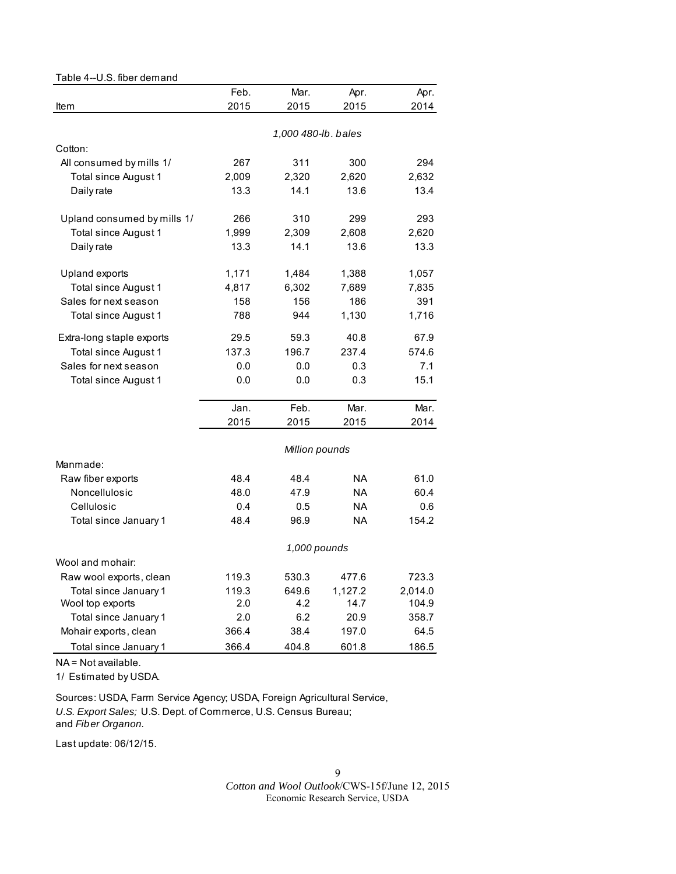# Table 4--U.S. fiber demand

|                             | Feb.  | Mar.                | Apr.      | Apr.    |
|-----------------------------|-------|---------------------|-----------|---------|
| Item                        | 2015  | 2015                | 2015      | 2014    |
|                             |       |                     |           |         |
|                             |       | 1,000 480-lb. bales |           |         |
| Cotton:                     |       |                     |           |         |
| All consumed by mills 1/    | 267   | 311                 | 300       | 294     |
| Total since August 1        | 2,009 | 2,320               | 2,620     | 2,632   |
| Daily rate                  | 13.3  | 14.1                | 13.6      | 13.4    |
| Upland consumed by mills 1/ | 266   | 310                 | 299       | 293     |
| Total since August 1        | 1,999 | 2,309               | 2,608     | 2,620   |
| Daily rate                  | 13.3  | 14.1                | 13.6      | 13.3    |
| Upland exports              | 1,171 | 1,484               | 1,388     | 1,057   |
| Total since August 1        | 4,817 | 6,302               | 7,689     | 7,835   |
| Sales for next season       | 158   | 156                 | 186       | 391     |
| Total since August 1        | 788   | 944                 | 1,130     | 1,716   |
| Extra-long staple exports   | 29.5  | 59.3                | 40.8      | 67.9    |
| Total since August 1        | 137.3 | 196.7               | 237.4     | 574.6   |
| Sales for next season       | 0.0   | 0.0                 | 0.3       | 7.1     |
| Total since August 1        | 0.0   | 0.0                 | 0.3       | 15.1    |
|                             | Jan.  | Feb.                | Mar.      | Mar.    |
|                             | 2015  | 2015                | 2015      | 2014    |
|                             |       | Million pounds      |           |         |
| Manmade:                    |       |                     |           |         |
| Raw fiber exports           | 48.4  | 48.4                | NA        | 61.0    |
| Noncellulosic               | 48.0  | 47.9                | <b>NA</b> | 60.4    |
| Cellulosic                  | 0.4   | 0.5                 | <b>NA</b> | 0.6     |
| Total since January 1       | 48.4  | 96.9                | <b>NA</b> | 154.2   |
|                             |       | 1,000 pounds        |           |         |
| Wool and mohair:            |       |                     |           |         |
| Raw wool exports, clean     | 119.3 | 530.3               | 477.6     | 723.3   |
| Total since January 1       | 119.3 | 649.6               | 1,127.2   | 2,014.0 |
| Wool top exports            | 2.0   | 4.2                 | 14.7      | 104.9   |
| Total since January 1       | 2.0   | 6.2                 | 20.9      | 358.7   |
| Mohair exports, clean       | 366.4 | 38.4                | 197.0     | 64.5    |
| Total since January 1       | 366.4 | 404.8               | 601.8     | 186.5   |

NA = Not available.

1/ Estimated by USDA.

Sources: USDA, Farm Service Agency; USDA, Foreign Agricultural Service, *U.S. Export Sales;* U.S. Dept. of Commerce, U.S. Census Bureau; and *Fiber Organon.*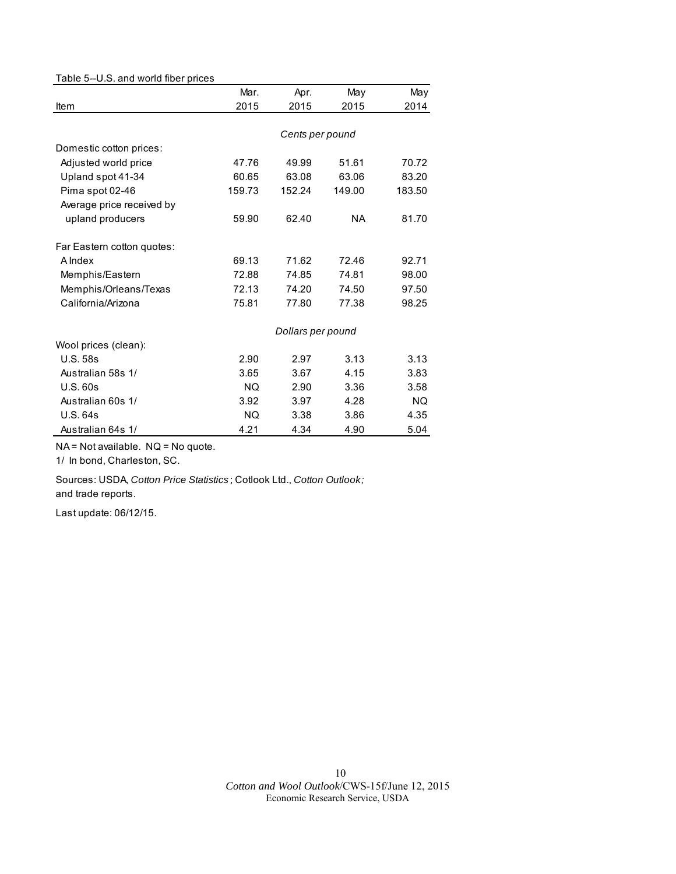#### Table 5--U.S. and world fiber prices

|                            | Mar.      | Apr.              | May       | May    |
|----------------------------|-----------|-------------------|-----------|--------|
| Item                       | 2015      | 2015              | 2015      | 2014   |
|                            |           |                   |           |        |
|                            |           | Cents per pound   |           |        |
| Domestic cotton prices:    |           |                   |           |        |
| Adjusted world price       | 47.76     | 49.99             | 51.61     | 70.72  |
| Upland spot 41-34          | 60.65     | 63.08             | 63.06     | 83.20  |
| Pima spot 02-46            | 159.73    | 152.24            | 149.00    | 183.50 |
| Average price received by  |           |                   |           |        |
| upland producers           | 59.90     | 62.40             | <b>NA</b> | 81.70  |
| Far Eastern cotton quotes: |           |                   |           |        |
| A Index                    | 69.13     | 71.62             | 72.46     | 92.71  |
| Memphis/Eastern            | 72.88     | 74.85             | 74.81     | 98.00  |
| Memphis/Orleans/Texas      | 72.13     | 74.20             | 74.50     | 97.50  |
| California/Arizona         | 75.81     | 77.80             | 77.38     | 98.25  |
|                            |           | Dollars per pound |           |        |
| Wool prices (clean):       |           |                   |           |        |
| <b>U.S. 58s</b>            | 2.90      | 2.97              | 3.13      | 3.13   |
| Australian 58s 1/          | 3.65      | 3.67              | 4.15      | 3.83   |
| U.S.60s                    | NQ.       | 2.90              | 3.36      | 3.58   |
| Australian 60s 1/          | 3.92      | 3.97              | 4.28      | NQ.    |
| U.S.64s                    | <b>NQ</b> | 3.38              | 3.86      | 4.35   |
| Australian 64s 1/          | 4.21      | 4.34              | 4.90      | 5.04   |

NA = Not available. NQ = No quote.

1/ In bond, Charleston, SC.

Sources: USDA, *Cotton Price Statistics* ; Cotlook Ltd., *Cotton Outlook;*  and trade reports.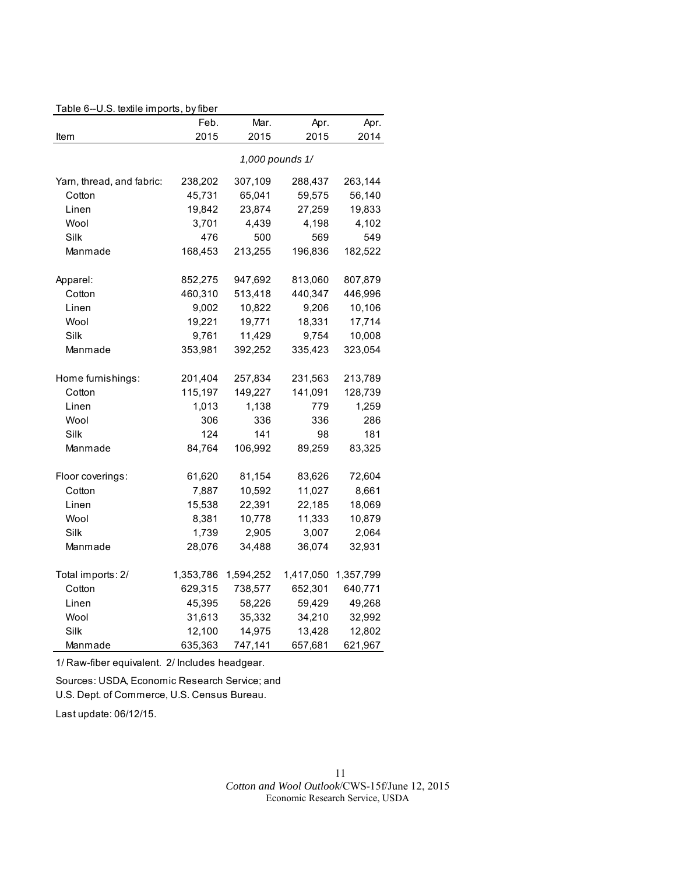|                           | Feb.    | Mar.            | Apr.    | Apr.    |
|---------------------------|---------|-----------------|---------|---------|
| Item                      | 2015    | 2015            | 2015    | 2014    |
|                           |         | 1,000 pounds 1/ |         |         |
| Yarn, thread, and fabric: | 238,202 | 307,109         | 288.437 | 263.144 |
| Cotton                    | 45,731  | 65.041          | 59,575  | 56,140  |
| Linen                     | 19,842  | 23,874          | 27,259  | 19,833  |
| Wool                      | 3,701   | 4.439           | 4.198   | 4,102   |
| Silk                      | 476     | 500             | 569     | 549     |
| Manmade                   | 168.453 | 213.255         | 196.836 | 182.522 |
| Apparel:                  | 852.275 | 947.692         | 813.060 | 807.879 |

#### Table 6--U.S. textile imports, by fiber

| Linen             | 9,002     | 10,822    | 9,206   | 10,106              |
|-------------------|-----------|-----------|---------|---------------------|
| Wool              | 19,221    | 19,771    | 18,331  | 17,714              |
| Silk              | 9,761     | 11,429    | 9,754   | 10,008              |
| Manmade           | 353,981   | 392,252   | 335,423 | 323,054             |
| Home furnishings: | 201,404   | 257,834   | 231,563 | 213,789             |
| Cotton            | 115,197   | 149,227   | 141,091 | 128,739             |
| Linen             | 1,013     | 1,138     | 779     | 1,259               |
| Wool              | 306       | 336       | 336     | 286                 |
| Silk              | 124       | 141       | 98      | 181                 |
| Manmade           | 84,764    | 106,992   | 89,259  | 83,325              |
| Floor coverings:  | 61,620    | 81,154    | 83,626  | 72,604              |
| Cotton            | 7,887     | 10,592    | 11,027  | 8,661               |
| Linen             | 15,538    | 22,391    | 22,185  | 18,069              |
| Wool              | 8,381     | 10,778    | 11,333  | 10,879              |
| Silk              | 1,739     | 2,905     | 3,007   | 2,064               |
| Manmade           | 28,076    | 34,488    | 36,074  | 32,931              |
| Total imports: 2/ | 1,353,786 | 1,594,252 |         | 1,417,050 1,357,799 |
| Cotton            | 629,315   | 738,577   | 652,301 | 640,771             |
| Linen             | 45,395    | 58,226    | 59,429  | 49,268              |
| Wool              | 31,613    | 35,332    | 34,210  | 32,992              |
| Silk              | 12,100    | 14,975    | 13,428  | 12,802              |
| Manmade           | 635,363   | 747,141   | 657,681 | 621,967             |

Cotton 460,310 513,418 440,347 446,996

1/ Raw-fiber equivalent. 2/ Includes headgear.

Sources: USDA, Economic Research Service; and U.S. Dept. of Commerce, U.S. Census Bureau.

Last update: 06/12/15.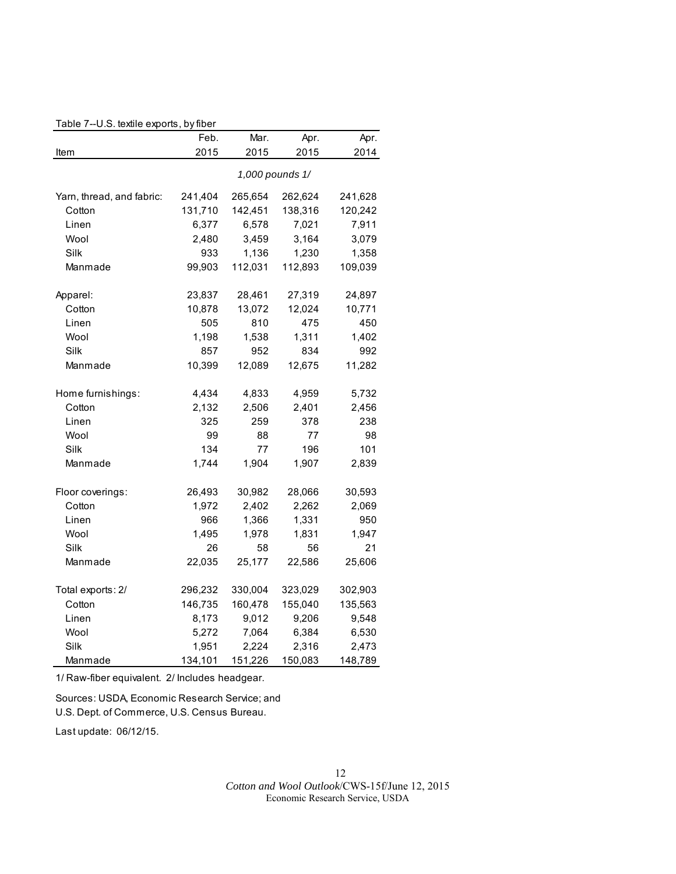#### Table 7--U.S. textile exports, by fiber

|                           | Feb.    | Mar.    | Apr.            | Apr.    |
|---------------------------|---------|---------|-----------------|---------|
| Item                      | 2015    | 2015    | 2015            | 2014    |
|                           |         |         | 1,000 pounds 1/ |         |
| Yarn, thread, and fabric: | 241,404 | 265,654 | 262,624         | 241,628 |
| Cotton                    | 131,710 | 142,451 | 138,316         | 120,242 |
| Linen                     | 6,377   | 6,578   | 7,021           | 7,911   |
| Wool                      | 2,480   | 3,459   | 3,164           | 3,079   |
| Silk                      | 933     | 1,136   | 1,230           | 1,358   |
| Manmade                   | 99,903  | 112,031 | 112,893         | 109,039 |
| Apparel:                  | 23,837  | 28,461  | 27,319          | 24,897  |
| Cotton                    | 10,878  | 13,072  | 12,024          | 10,771  |
| Linen                     | 505     | 810     | 475             | 450     |
| Wool                      | 1,198   | 1,538   | 1,311           | 1,402   |
| Silk                      | 857     | 952     | 834             | 992     |
| Manmade                   | 10,399  | 12,089  | 12,675          | 11,282  |
| Home furnishings:         | 4,434   | 4,833   | 4,959           | 5,732   |
| Cotton                    | 2,132   | 2,506   | 2,401           | 2,456   |
| Linen                     | 325     | 259     | 378             | 238     |
| Wool                      | 99      | 88      | 77              | 98      |
| Silk                      | 134     | 77      | 196             | 101     |
| Manmade                   | 1,744   | 1,904   | 1,907           | 2,839   |
| Floor coverings:          | 26,493  | 30,982  | 28,066          | 30,593  |
| Cotton                    | 1,972   | 2,402   | 2,262           | 2,069   |
| Linen                     | 966     | 1,366   | 1,331           | 950     |
| Wool                      | 1,495   | 1,978   | 1,831           | 1,947   |
| Silk                      | 26      | 58      | 56              | 21      |
| Manmade                   | 22,035  | 25,177  | 22,586          | 25,606  |
| Total exports: 2/         | 296,232 | 330,004 | 323,029         | 302,903 |
| Cotton                    | 146,735 | 160,478 | 155,040         | 135,563 |
| Linen                     | 8,173   | 9,012   | 9,206           | 9,548   |
| Wool                      | 5,272   | 7,064   | 6,384           | 6,530   |
| Silk                      | 1,951   | 2,224   | 2,316           | 2,473   |
| Manmade                   | 134,101 | 151,226 | 150,083         | 148,789 |

1/ Raw-fiber equivalent. 2/ Includes headgear.

Sources: USDA, Economic Research Service; and U.S. Dept. of Commerce, U.S. Census Bureau.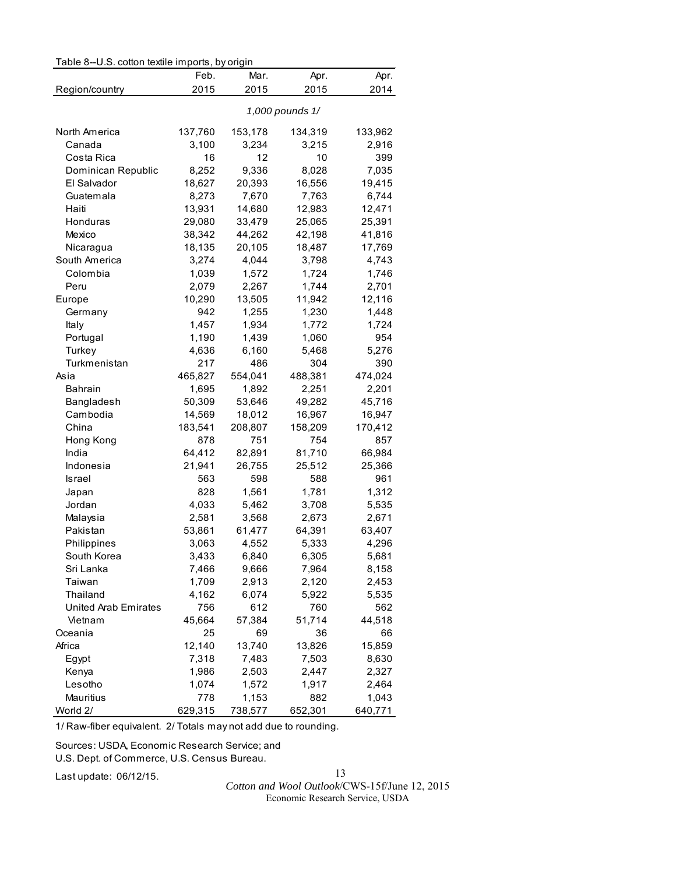| Table 8--U.S. cotton textile imports, by origin |  |  |  |
|-------------------------------------------------|--|--|--|
|-------------------------------------------------|--|--|--|

|                             | Feb.           | Mar.    | Apr.            | Apr.           |
|-----------------------------|----------------|---------|-----------------|----------------|
| Region/country              | 2015           | 2015    | 2015            | 2014           |
|                             |                |         | 1,000 pounds 1/ |                |
| North America               | 137,760        | 153,178 | 134,319         | 133,962        |
| Canada                      | 3,100          | 3,234   | 3,215           | 2,916          |
| Costa Rica                  | 16             | 12      | 10              | 399            |
| Dominican Republic          | 8,252          | 9,336   | 8,028           | 7,035          |
| El Salvador                 | 18,627         | 20,393  | 16,556          | 19,415         |
| Guatemala                   | 8,273          | 7,670   | 7,763           | 6,744          |
| Haiti                       | 13,931         | 14,680  | 12,983          | 12,471         |
| Honduras                    | 29,080         | 33,479  | 25,065          | 25,391         |
| Mexico                      | 38,342         | 44,262  | 42,198          | 41,816         |
| Nicaragua                   | 18,135         | 20,105  | 18,487          | 17,769         |
| South America               | 3,274          | 4,044   | 3,798           | 4,743          |
| Colombia                    | 1,039          | 1,572   | 1,724           | 1,746          |
| Peru                        | 2,079          | 2,267   | 1,744           | 2,701          |
| Europe                      | 10,290         | 13,505  | 11,942          | 12,116         |
| Germany                     | 942            | 1,255   | 1,230           | 1,448          |
| Italy                       | 1,457          | 1,934   | 1,772           | 1,724          |
| Portugal                    | 1,190          | 1,439   | 1,060           | 954            |
| Turkey                      | 4,636          | 6,160   | 5,468           | 5,276          |
| Turkmenistan                | 217            | 486     | 304             | 390            |
| Asia                        | 465,827        | 554,041 | 488,381         | 474,024        |
| <b>Bahrain</b>              | 1,695          | 1,892   | 2,251           | 2,201          |
| Bangladesh                  | 50,309         | 53,646  | 49,282          | 45,716         |
| Cambodia                    | 14,569         | 18,012  | 16,967          | 16,947         |
| China                       | 183,541        | 208,807 | 158,209         | 170,412        |
| Hong Kong                   | 878            | 751     | 754             | 857            |
| India                       | 64,412         | 82,891  | 81,710          | 66,984         |
| Indonesia                   | 21,941         | 26,755  | 25,512          | 25,366         |
| Israel                      | 563            | 598     | 588             | 961            |
| Japan                       | 828            | 1,561   | 1,781           | 1,312          |
| Jordan                      | 4,033          | 5,462   | 3,708           | 5,535          |
| Malaysia                    | 2,581          | 3,568   | 2,673           | 2,671          |
| Pakistan                    | 53,861         | 61,477  | 64,391          | 63,407         |
| Philippines                 | 3,063          | 4,552   | 5,333           | 4,296          |
| South Korea                 | 3,433          | 6,840   | 6,305           | 5,681          |
| Sri Lanka                   | 7,466          | 9,666   | 7,964           | 8,158          |
| Taiwan                      | 1,709          | 2,913   | 2,120           | 2,453          |
| Thailand                    | 4,162          | 6,074   | 5,922           | 5,535          |
| <b>United Arab Emirates</b> | 756            | 612     | 760             | 562            |
| Vietnam                     | 45,664         | 57,384  | 51,714          | 44,518         |
| Oceania                     | 25             | 69      | 36              | 66             |
| Africa                      | 12,140         | 13,740  | 13,826          | 15,859         |
|                             |                | 7,483   |                 |                |
| Egypt<br>Kenya              | 7,318<br>1,986 | 2,503   | 7,503<br>2,447  | 8,630<br>2,327 |
|                             |                |         |                 |                |
| Lesotho                     | 1,074          | 1,572   | 1,917           | 2,464          |
| Mauritius<br>World 2/       | 778<br>629,315 | 1,153   | 882<br>652,301  | 1,043          |
|                             |                | 738,577 |                 | 640,771        |

1/ Raw-fiber equivalent. 2/ Totals may not add due to rounding.

Sources: USDA, Economic Research Service; and

U.S. Dept. of Commerce, U.S. Census Bureau.

Last update: 06/12/15.

13

*Cotton and Wool Outlook*/CWS-15f/June 12, 2015 Economic Research Service, USDA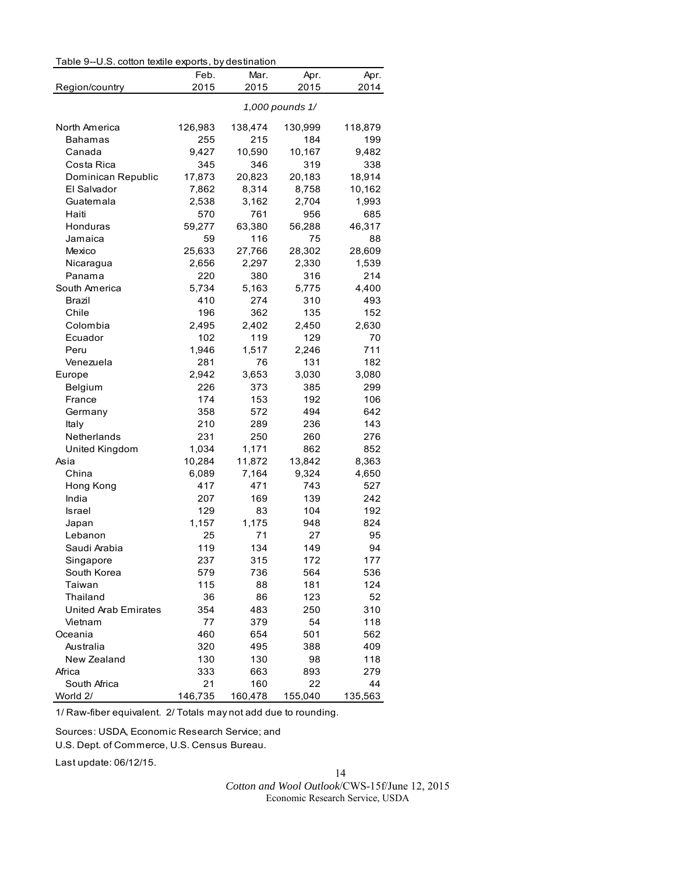|                             | Table 9--U.S. cotton textile exports, by destination |         |                 |         |  |  |
|-----------------------------|------------------------------------------------------|---------|-----------------|---------|--|--|
|                             | Feb.                                                 | Mar.    | Apr.            | Apr.    |  |  |
| Region/country              | 2015                                                 | 2015    | 2015            | 2014    |  |  |
|                             |                                                      |         | 1,000 pounds 1/ |         |  |  |
| North America               | 126,983                                              | 138,474 | 130,999         | 118,879 |  |  |
| Bahamas                     | 255                                                  | 215     | 184             | 199     |  |  |
| Canada                      | 9,427                                                | 10,590  | 10,167          | 9,482   |  |  |
| Costa Rica                  | 345                                                  | 346     | 319             | 338     |  |  |
| Dominican Republic          | 17,873                                               | 20,823  | 20,183          | 18,914  |  |  |
| El Salvador                 | 7,862                                                | 8,314   | 8,758           | 10,162  |  |  |
| Guatemala                   | 2,538                                                | 3,162   | 2,704           | 1,993   |  |  |
| Haiti                       | 570                                                  | 761     | 956             | 685     |  |  |
| Honduras                    | 59,277                                               | 63,380  | 56,288          | 46,317  |  |  |
| Jamaica                     | 59                                                   | 116     | 75              | 88      |  |  |
| Mexico                      | 25,633                                               | 27,766  | 28,302          | 28,609  |  |  |
| Nicaragua                   | 2,656                                                | 2,297   | 2,330           | 1,539   |  |  |
| Panama                      | 220                                                  | 380     | 316             | 214     |  |  |
| South America               | 5,734                                                | 5,163   | 5,775           | 4,400   |  |  |
| Brazil                      | 410                                                  | 274     | 310             | 493     |  |  |
| Chile                       | 196                                                  | 362     | 135             | 152     |  |  |
| Colombia                    | 2,495                                                | 2,402   | 2,450           | 2,630   |  |  |
| Ecuador                     | 102                                                  | 119     | 129             | 70      |  |  |
| Peru                        | 1,946                                                | 1,517   | 2,246           | 711     |  |  |
| Venezuela                   | 281                                                  | 76      | 131             | 182     |  |  |
| Europe                      | 2,942                                                | 3,653   | 3,030           | 3,080   |  |  |
| Belgium                     | 226                                                  | 373     | 385             | 299     |  |  |
| France                      | 174                                                  | 153     | 192             | 106     |  |  |
| Germany                     | 358                                                  | 572     | 494             | 642     |  |  |
| Italy                       | 210                                                  | 289     | 236             | 143     |  |  |
| Netherlands                 | 231                                                  | 250     | 260             | 276     |  |  |
| United Kingdom              | 1,034                                                | 1,171   | 862             | 852     |  |  |
| Asia                        | 10,284                                               | 11,872  | 13,842          | 8,363   |  |  |
| China                       | 6,089                                                | 7,164   | 9,324           | 4,650   |  |  |
| Hong Kong                   | 417                                                  | 471     | 743             | 527     |  |  |
| India                       | 207                                                  | 169     | 139             | 242     |  |  |
| Israel                      | 129                                                  | 83      | 104             | 192     |  |  |
| Japan                       | 1,157                                                | 1,175   | 948             | 824     |  |  |
| Lebanon                     | 25                                                   | 71      | 27              | 95      |  |  |
| Saudi Arabia                | 119                                                  | 134     | 149             | 94      |  |  |
| Singapore                   | 237                                                  | 315     | 172             | 177     |  |  |
| South Korea                 | 579                                                  | 736     | 564             | 536     |  |  |
| Taiwan                      | 115                                                  | 88      | 181             | 124     |  |  |
| Thailand                    | 36                                                   | 86      | 123             | 52      |  |  |
| <b>United Arab Emirates</b> | 354                                                  | 483     | 250             | 310     |  |  |
| Vietnam                     | 77                                                   | 379     | 54              | 118     |  |  |
| Oceania                     | 460                                                  | 654     | 501             | 562     |  |  |
| Australia                   | 320                                                  | 495     | 388             | 409     |  |  |
| New Zealand                 | 130                                                  | 130     | 98              | 118     |  |  |
| Africa                      | 333                                                  | 663     | 893             | 279     |  |  |
| South Africa                | 21                                                   | 160     | 22              | 44      |  |  |
| World 2/                    | 146,735                                              | 160,478 | 155,040         | 135,563 |  |  |

1/ Raw-fiber equivalent. 2/ Totals may not add due to rounding.

Sources: USDA, Economic Research Service; and

U.S. Dept. of Commerce, U.S. Census Bureau.

Last update: 06/12/15.

14 *Cotton and Wool Outlook*/CWS-15f/June 12, 2015

Economic Research Service, USDA